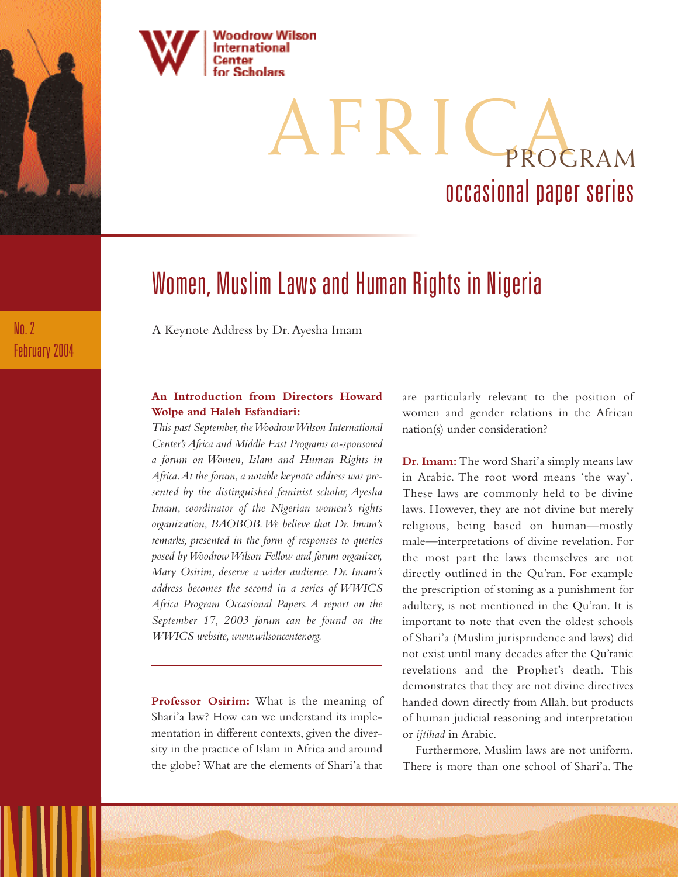

oodrow Wilson/ nternational Scholars

> AFRICA occasional paper series PROGRAM

# Women, Muslim Laws and Human Rights in Nigeria

A Keynote Address by Dr. Ayesha Imam

### **An Introduction from Directors Howard Wolpe and Haleh Esfandiari:**

This past September, the Woodrow Wilson International *Center's Africa and Middle East Programs co-sponsored a forum on Women, Islam and Human Rights in* Africa. At the forum, a notable keynote address was pre*sented by the distinguished feminist scholar, Ayesha Imam, coordinator of the Nigerian women's rights organization, BAOBOB.We believe that Dr. Imam's remarks, presented in the form of responses to queries posed by Woodrow Wilson Fellow and forum organizer, Mary Osirim, deserve a wider audience. Dr. Imam's address becomes the second in a series of WWICS Africa Program Occasional Papers. A report on the September 17, 2003 forum can be found on the WWICS website, www.wilsoncenter.org.*

**Professor Osirim:** What is the meaning of Shari'a law? How can we understand its implementation in different contexts, given the diversity in the practice of Islam in Africa and around the globe? What are the elements of Shari'a that

are particularly relevant to the position of women and gender relations in the African nation(s) under consideration?

**Dr. Imam:** The word Shari'a simply means law in Arabic. The root word means 'the way'. These laws are commonly held to be divine laws. However, they are not divine but merely religious, being based on human—mostly male—interpretations of divine revelation. For the most part the laws themselves are not directly outlined in the Qu'ran. For example the prescription of stoning as a punishment for adultery, is not mentioned in the Qu'ran. It is important to note that even the oldest schools of Shari'a (Muslim jurisprudence and laws) did not exist until many decades after the Qu'ranic revelations and the Prophet's death. This demonstrates that they are not divine directives handed down directly from Allah, but products of human judicial reasoning and interpretation or *ijtihad* in Arabic.

Furthermore, Muslim laws are not uniform. There is more than one school of Shari'a. The

No. 2 February 2004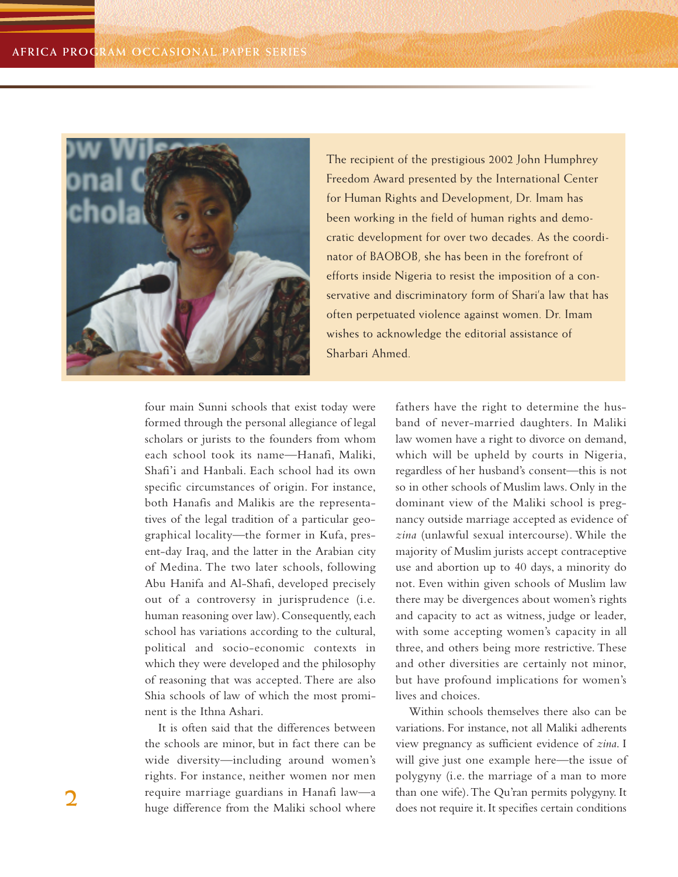

The recipient of the prestigious 2002 John Humphrey Freedom Award presented by the International Center for Human Rights and Development, Dr. Imam has been working in the field of human rights and democratic development for over two decades. As the coordinator of BAOBOB, she has been in the forefront of efforts inside Nigeria to resist the imposition of a conservative and discriminatory form of Shari'a law that has often perpetuated violence against women. Dr. Imam wishes to acknowledge the editorial assistance of Sharbari Ahmed.

four main Sunni schools that exist today were formed through the personal allegiance of legal scholars or jurists to the founders from whom each school took its name—Hanafi, Maliki, Shafi'i and Hanbali. Each school had its own specific circumstances of origin. For instance, both Hanafis and Malikis are the representatives of the legal tradition of a particular geographical locality—the former in Kufa, present-day Iraq, and the latter in the Arabian city of Medina. The two later schools, following Abu Hanifa and Al-Shafi, developed precisely out of a controversy in jurisprudence (i.e. human reasoning over law). Consequently, each school has variations according to the cultural, political and socio-economic contexts in which they were developed and the philosophy of reasoning that was accepted. There are also Shia schools of law of which the most prominent is the Ithna Ashari.

It is often said that the differences between the schools are minor, but in fact there can be wide diversity—including around women's rights. For instance, neither women nor men require marriage guardians in Hanafi law—a huge difference from the Maliki school where

fathers have the right to determine the husband of never-married daughters. In Maliki law women have a right to divorce on demand, which will be upheld by courts in Nigeria, regardless of her husband's consent—this is not so in other schools of Muslim laws. Only in the dominant view of the Maliki school is pregnancy outside marriage accepted as evidence of *zina* (unlawful sexual intercourse). While the majority of Muslim jurists accept contraceptive use and abortion up to 40 days, a minority do not. Even within given schools of Muslim law there may be divergences about women's rights and capacity to act as witness, judge or leader, with some accepting women's capacity in all three, and others being more restrictive. These and other diversities are certainly not minor, but have profound implications for women's lives and choices.

Within schools themselves there also can be variations. For instance, not all Maliki adherents view pregnancy as sufficient evidence of *zina*. I will give just one example here—the issue of polygyny (i.e. the marriage of a man to more than one wife).The Qu'ran permits polygyny. It does not require it.It specifies certain conditions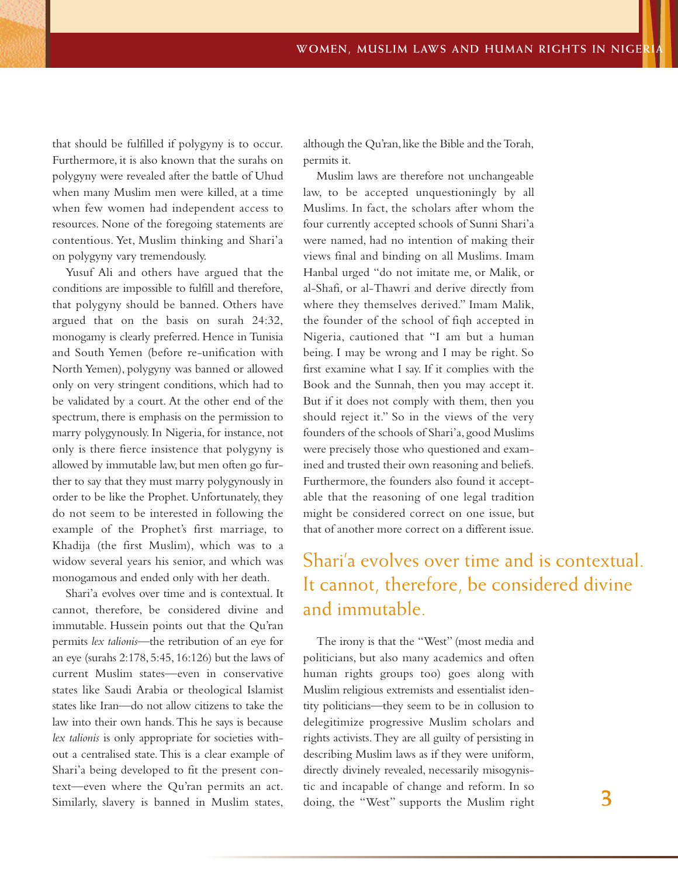that should be fulfilled if polygyny is to occur. Furthermore, it is also known that the surahs on polygyny were revealed after the battle of Uhud when many Muslim men were killed, at a time when few women had independent access to resources. None of the foregoing statements are contentious. Yet, Muslim thinking and Shari'a on polygyny vary tremendously.

Yusuf Ali and others have argued that the conditions are impossible to fulfill and therefore, that polygyny should be banned. Others have argued that on the basis on surah 24:32, monogamy is clearly preferred. Hence in Tunisia and South Yemen (before re-unification with North Yemen), polygyny was banned or allowed only on very stringent conditions, which had to be validated by a court. At the other end of the spectrum, there is emphasis on the permission to marry polygynously. In Nigeria, for instance, not only is there fierce insistence that polygyny is allowed by immutable law, but men often go further to say that they must marry polygynously in order to be like the Prophet. Unfortunately, they do not seem to be interested in following the example of the Prophet's first marriage, to Khadija (the first Muslim), which was to a widow several years his senior, and which was monogamous and ended only with her death.

Shari'a evolves over time and is contextual. It cannot, therefore, be considered divine and immutable. Hussein points out that the Qu'ran permits *lex talionis*—the retribution of an eye for an eye (surahs 2:178,5:45,16:126) but the laws of current Muslim states—even in conservative states like Saudi Arabia or theological Islamist states like Iran—do not allow citizens to take the law into their own hands.This he says is because *lex talionis* is only appropriate for societies without a centralised state. This is a clear example of Shari'a being developed to fit the present context—even where the Qu'ran permits an act. Similarly, slavery is banned in Muslim states,

although the Qu'ran, like the Bible and the Torah, permits it.

Muslim laws are therefore not unchangeable law, to be accepted unquestioningly by all Muslims. In fact, the scholars after whom the four currently accepted schools of Sunni Shari'a were named, had no intention of making their views final and binding on all Muslims. Imam Hanbal urged "do not imitate me, or Malik, or al-Shafi, or al-Thawri and derive directly from where they themselves derived." Imam Malik, the founder of the school of fiqh accepted in Nigeria, cautioned that "I am but a human being. I may be wrong and I may be right. So first examine what I say. If it complies with the Book and the Sunnah, then you may accept it. But if it does not comply with them, then you should reject it." So in the views of the very founders of the schools of Shari'a, good Muslims were precisely those who questioned and examined and trusted their own reasoning and beliefs. Furthermore, the founders also found it acceptable that the reasoning of one legal tradition might be considered correct on one issue, but that of another more correct on a different issue.

### Shari'a evolves over time and is contextual. It cannot, therefore, be considered divine and immutable.

The irony is that the "West" (most media and politicians, but also many academics and often human rights groups too) goes along with Muslim religious extremists and essentialist identity politicians—they seem to be in collusion to delegitimize progressive Muslim scholars and rights activists.They are all guilty of persisting in describing Muslim laws as if they were uniform, directly divinely revealed, necessarily misogynistic and incapable of change and reform. In so doing, the "West" supports the Muslim right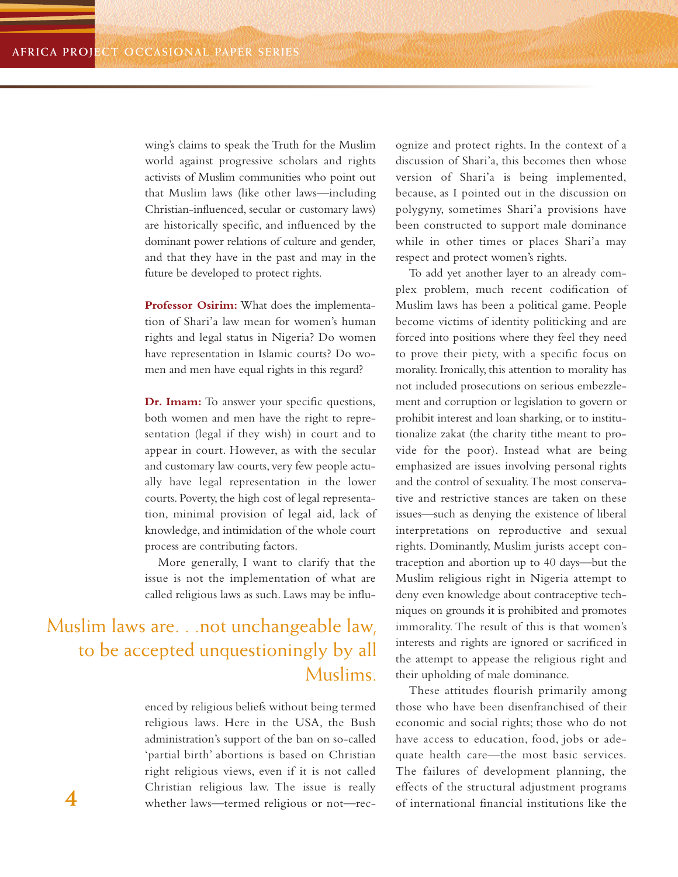wing's claims to speak the Truth for the Muslim world against progressive scholars and rights activists of Muslim communities who point out that Muslim laws (like other laws—including Christian-influenced, secular or customary laws) are historically specific, and influenced by the dominant power relations of culture and gender, and that they have in the past and may in the future be developed to protect rights.

**Professor Osirim:** What does the implementation of Shari'a law mean for women's human rights and legal status in Nigeria? Do women have representation in Islamic courts? Do women and men have equal rights in this regard?

**Dr. Imam:** To answer your specific questions, both women and men have the right to representation (legal if they wish) in court and to appear in court. However, as with the secular and customary law courts, very few people actually have legal representation in the lower courts. Poverty, the high cost of legal representation, minimal provision of legal aid, lack of knowledge, and intimidation of the whole court process are contributing factors.

More generally, I want to clarify that the issue is not the implementation of what are called religious laws as such. Laws may be influ-

### Muslim laws are. . .not unchangeable law, to be accepted unquestioningly by all Muslims.

enced by religious beliefs without being termed religious laws. Here in the USA, the Bush administration's support of the ban on so-called 'partial birth' abortions is based on Christian right religious views, even if it is not called Christian religious law. The issue is really whether laws—termed religious or not—recognize and protect rights. In the context of a discussion of Shari'a, this becomes then whose version of Shari'a is being implemented, because, as I pointed out in the discussion on polygyny, sometimes Shari'a provisions have been constructed to support male dominance while in other times or places Shari'a may respect and protect women's rights.

To add yet another layer to an already complex problem, much recent codification of Muslim laws has been a political game. People become victims of identity politicking and are forced into positions where they feel they need to prove their piety, with a specific focus on morality. Ironically, this attention to morality has not included prosecutions on serious embezzlement and corruption or legislation to govern or prohibit interest and loan sharking, or to institutionalize zakat (the charity tithe meant to provide for the poor). Instead what are being emphasized are issues involving personal rights and the control of sexuality.The most conservative and restrictive stances are taken on these issues—such as denying the existence of liberal interpretations on reproductive and sexual rights. Dominantly, Muslim jurists accept contraception and abortion up to 40 days—but the Muslim religious right in Nigeria attempt to deny even knowledge about contraceptive techniques on grounds it is prohibited and promotes immorality. The result of this is that women's interests and rights are ignored or sacrificed in the attempt to appease the religious right and their upholding of male dominance.

These attitudes flourish primarily among those who have been disenfranchised of their economic and social rights; those who do not have access to education, food, jobs or adequate health care—the most basic services. The failures of development planning, the effects of the structural adjustment programs of international financial institutions like the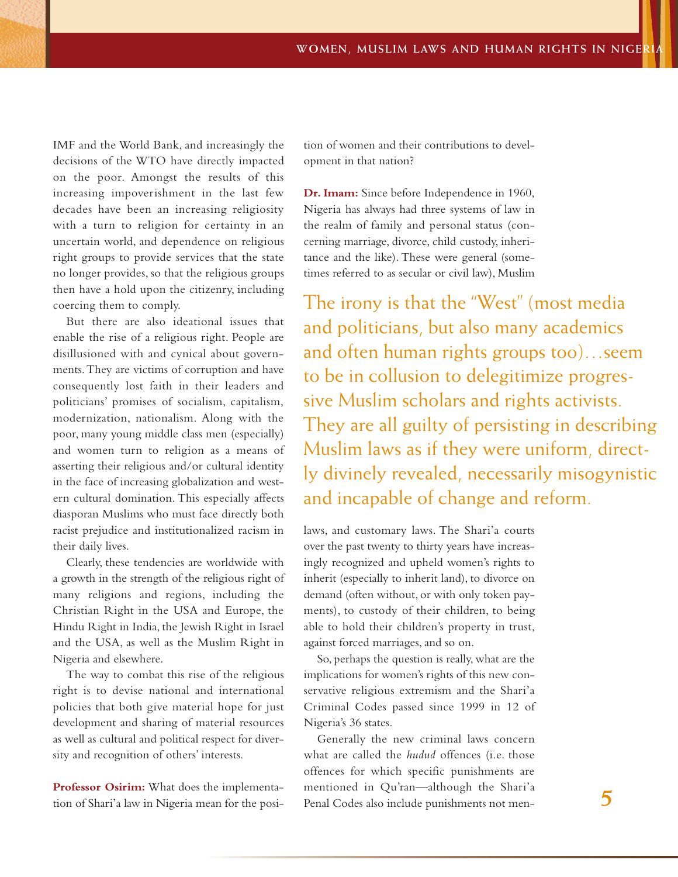IMF and the World Bank, and increasingly the decisions of the WTO have directly impacted on the poor. Amongst the results of this increasing impoverishment in the last few decades have been an increasing religiosity with a turn to religion for certainty in an uncertain world, and dependence on religious right groups to provide services that the state no longer provides, so that the religious groups then have a hold upon the citizenry, including coercing them to comply.

But there are also ideational issues that enable the rise of a religious right. People are disillusioned with and cynical about governments.They are victims of corruption and have consequently lost faith in their leaders and politicians' promises of socialism, capitalism, modernization, nationalism. Along with the poor, many young middle class men (especially) and women turn to religion as a means of asserting their religious and/or cultural identity in the face of increasing globalization and western cultural domination. This especially affects diasporan Muslims who must face directly both racist prejudice and institutionalized racism in their daily lives.

Clearly, these tendencies are worldwide with a growth in the strength of the religious right of many religions and regions, including the Christian Right in the USA and Europe, the Hindu Right in India, the Jewish Right in Israel and the USA, as well as the Muslim Right in Nigeria and elsewhere.

The way to combat this rise of the religious right is to devise national and international policies that both give material hope for just development and sharing of material resources as well as cultural and political respect for diversity and recognition of others' interests.

**Professor Osirim:** What does the implementation of Shari'a law in Nigeria mean for the position of women and their contributions to development in that nation?

**Dr. Imam:** Since before Independence in 1960, Nigeria has always had three systems of law in the realm of family and personal status (concerning marriage, divorce, child custody, inheritance and the like). These were general (sometimes referred to as secular or civil law), Muslim

The irony is that the "West" (most media and politicians, but also many academics and often human rights groups too)…seem to be in collusion to delegitimize progressive Muslim scholars and rights activists. They are all guilty of persisting in describing Muslim laws as if they were uniform, directly divinely revealed, necessarily misogynistic and incapable of change and reform.

laws, and customary laws. The Shari'a courts over the past twenty to thirty years have increasingly recognized and upheld women's rights to inherit (especially to inherit land), to divorce on demand (often without, or with only token payments), to custody of their children, to being able to hold their children's property in trust, against forced marriages, and so on.

So, perhaps the question is really, what are the implications for women's rights of this new conservative religious extremism and the Shari'a Criminal Codes passed since 1999 in 12 of Nigeria's 36 states.

Generally the new criminal laws concern what are called the *hudud* offences (i.e. those offences for which specific punishments are mentioned in Qu'ran—although the Shari'a Penal Codes also include punishments not men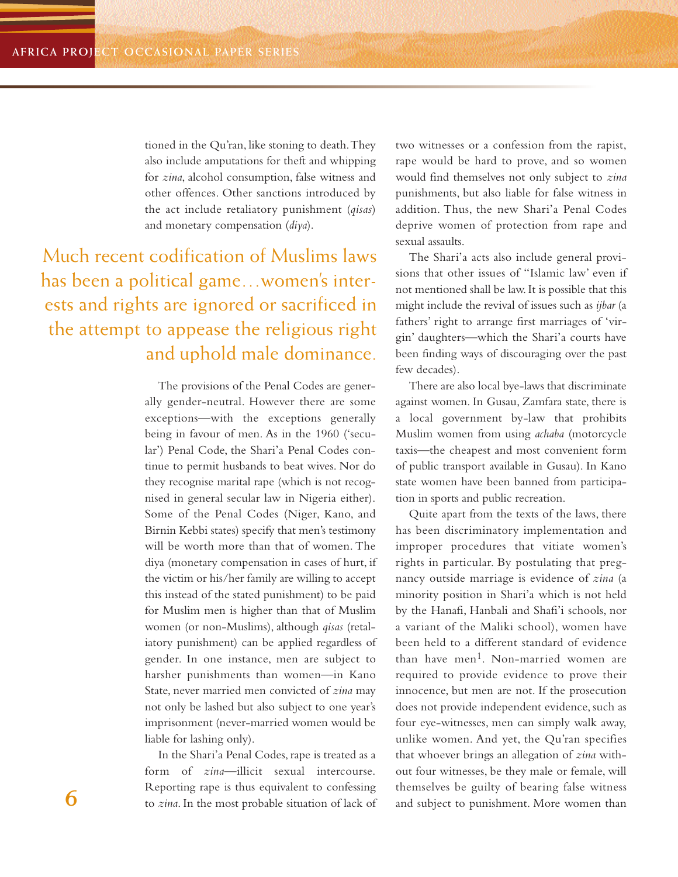tioned in the Qu'ran, like stoning to death.They also include amputations for theft and whipping for *zina*, alcohol consumption, false witness and other offences. Other sanctions introduced by the act include retaliatory punishment (*qisas*) and monetary compensation (*diya*).

Much recent codification of Muslims laws has been a political game…women's interests and rights are ignored or sacrificed in the attempt to appease the religious right and uphold male dominance.

> The provisions of the Penal Codes are generally gender-neutral. However there are some exceptions—with the exceptions generally being in favour of men. As in the 1960 ('secular') Penal Code, the Shari'a Penal Codes continue to permit husbands to beat wives. Nor do they recognise marital rape (which is not recognised in general secular law in Nigeria either). Some of the Penal Codes (Niger, Kano, and Birnin Kebbi states) specify that men's testimony will be worth more than that of women. The diya (monetary compensation in cases of hurt, if the victim or his/her family are willing to accept this instead of the stated punishment) to be paid for Muslim men is higher than that of Muslim women (or non-Muslims), although *qisas* (retaliatory punishment) can be applied regardless of gender. In one instance, men are subject to harsher punishments than women—in Kano State, never married men convicted of *zina* may not only be lashed but also subject to one year's imprisonment (never-married women would be liable for lashing only).

> In the Shari'a Penal Codes, rape is treated as a form of *zina*—illicit sexual intercourse. Reporting rape is thus equivalent to confessing to *zina*. In the most probable situation of lack of

two witnesses or a confession from the rapist, rape would be hard to prove, and so women would find themselves not only subject to *zina* punishments, but also liable for false witness in addition. Thus, the new Shari'a Penal Codes deprive women of protection from rape and sexual assaults.

The Shari'a acts also include general provisions that other issues of "Islamic law' even if not mentioned shall be law. It is possible that this might include the revival of issues such as *ijbar* (a fathers' right to arrange first marriages of 'virgin' daughters—which the Shari'a courts have been finding ways of discouraging over the past few decades).

There are also local bye-laws that discriminate against women. In Gusau, Zamfara state, there is a local government by-law that prohibits Muslim women from using *achaba* (motorcycle taxis—the cheapest and most convenient form of public transport available in Gusau). In Kano state women have been banned from participation in sports and public recreation.

Quite apart from the texts of the laws, there has been discriminatory implementation and improper procedures that vitiate women's rights in particular. By postulating that pregnancy outside marriage is evidence of *zina* (a minority position in Shari'a which is not held by the Hanafi, Hanbali and Shafi'i schools, nor a variant of the Maliki school), women have been held to a different standard of evidence than have men<sup>1</sup>. Non-married women are required to provide evidence to prove their innocence, but men are not. If the prosecution does not provide independent evidence, such as four eye-witnesses, men can simply walk away, unlike women. And yet, the Qu'ran specifies that whoever brings an allegation of *zina* without four witnesses, be they male or female, will themselves be guilty of bearing false witness and subject to punishment. More women than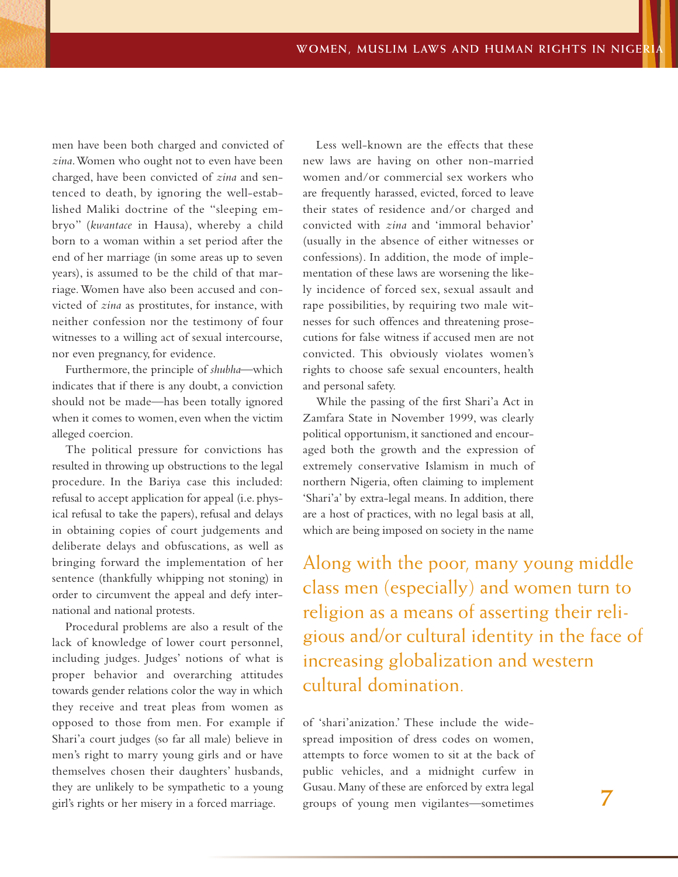men have been both charged and convicted of *zina*.Women who ought not to even have been charged, have been convicted of *zina* and sentenced to death, by ignoring the well-established Maliki doctrine of the "sleeping embryo" (*kwantace* in Hausa), whereby a child born to a woman within a set period after the end of her marriage (in some areas up to seven years), is assumed to be the child of that marriage.Women have also been accused and convicted of *zina* as prostitutes, for instance, with neither confession nor the testimony of four witnesses to a willing act of sexual intercourse, nor even pregnancy, for evidence.

Furthermore, the principle of *shubha*—which indicates that if there is any doubt, a conviction should not be made—has been totally ignored when it comes to women, even when the victim alleged coercion.

The political pressure for convictions has resulted in throwing up obstructions to the legal procedure. In the Bariya case this included: refusal to accept application for appeal (i.e. physical refusal to take the papers), refusal and delays in obtaining copies of court judgements and deliberate delays and obfuscations, as well as bringing forward the implementation of her sentence (thankfully whipping not stoning) in order to circumvent the appeal and defy international and national protests.

Procedural problems are also a result of the lack of knowledge of lower court personnel, including judges. Judges' notions of what is proper behavior and overarching attitudes towards gender relations color the way in which they receive and treat pleas from women as opposed to those from men. For example if Shari'a court judges (so far all male) believe in men's right to marry young girls and or have themselves chosen their daughters' husbands, they are unlikely to be sympathetic to a young girl's rights or her misery in a forced marriage.

Less well-known are the effects that these new laws are having on other non-married women and/or commercial sex workers who are frequently harassed, evicted, forced to leave their states of residence and/or charged and convicted with *zina* and 'immoral behavior' (usually in the absence of either witnesses or confessions). In addition, the mode of implementation of these laws are worsening the likely incidence of forced sex, sexual assault and rape possibilities, by requiring two male witnesses for such offences and threatening prosecutions for false witness if accused men are not convicted. This obviously violates women's rights to choose safe sexual encounters, health and personal safety.

While the passing of the first Shari'a Act in Zamfara State in November 1999, was clearly political opportunism, it sanctioned and encouraged both the growth and the expression of extremely conservative Islamism in much of northern Nigeria, often claiming to implement 'Shari'a' by extra-legal means. In addition, there are a host of practices, with no legal basis at all, which are being imposed on society in the name

Along with the poor, many young middle class men (especially) and women turn to religion as a means of asserting their religious and/or cultural identity in the face of increasing globalization and western cultural domination.

of 'shari'anization.' These include the widespread imposition of dress codes on women, attempts to force women to sit at the back of public vehicles, and a midnight curfew in Gusau. Many of these are enforced by extra legal groups of young men vigilantes—sometimes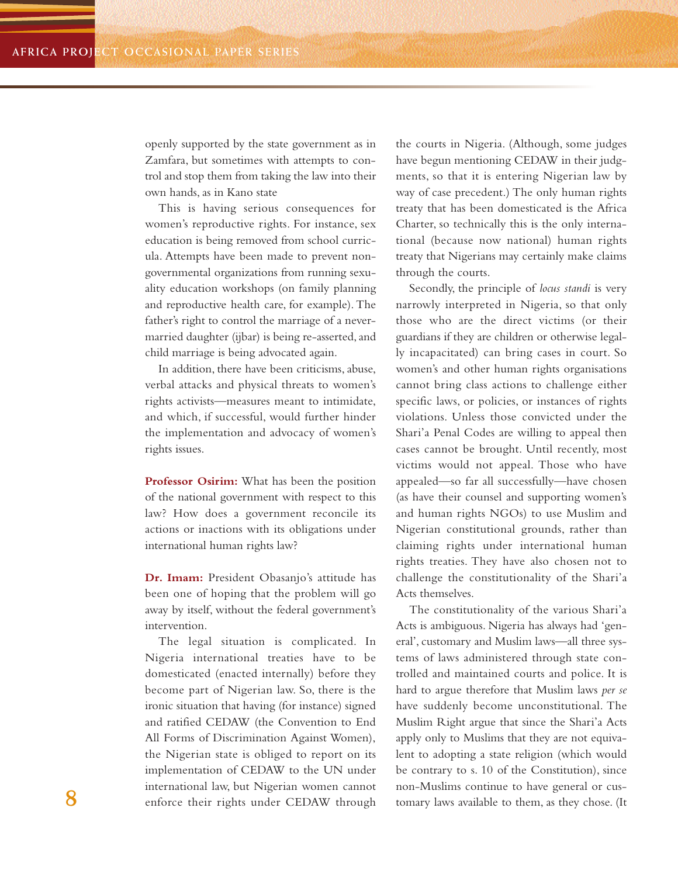openly supported by the state government as in Zamfara, but sometimes with attempts to control and stop them from taking the law into their own hands, as in Kano state

This is having serious consequences for women's reproductive rights. For instance, sex education is being removed from school curricula. Attempts have been made to prevent nongovernmental organizations from running sexuality education workshops (on family planning and reproductive health care, for example). The father's right to control the marriage of a nevermarried daughter (ijbar) is being re-asserted, and child marriage is being advocated again.

In addition, there have been criticisms, abuse, verbal attacks and physical threats to women's rights activists—measures meant to intimidate, and which, if successful, would further hinder the implementation and advocacy of women's rights issues.

**Professor Osirim:** What has been the position of the national government with respect to this law? How does a government reconcile its actions or inactions with its obligations under international human rights law?

**Dr. Imam:** President Obasanjo's attitude has been one of hoping that the problem will go away by itself, without the federal government's intervention.

The legal situation is complicated. In Nigeria international treaties have to be domesticated (enacted internally) before they become part of Nigerian law. So, there is the ironic situation that having (for instance) signed and ratified CEDAW (the Convention to End All Forms of Discrimination Against Women), the Nigerian state is obliged to report on its implementation of CEDAW to the UN under international law, but Nigerian women cannot enforce their rights under CEDAW through

the courts in Nigeria. (Although, some judges have begun mentioning CEDAW in their judgments, so that it is entering Nigerian law by way of case precedent.) The only human rights treaty that has been domesticated is the Africa Charter, so technically this is the only international (because now national) human rights treaty that Nigerians may certainly make claims through the courts.

Secondly, the principle of *locus standi* is very narrowly interpreted in Nigeria, so that only those who are the direct victims (or their guardians if they are children or otherwise legally incapacitated) can bring cases in court. So women's and other human rights organisations cannot bring class actions to challenge either specific laws, or policies, or instances of rights violations. Unless those convicted under the Shari'a Penal Codes are willing to appeal then cases cannot be brought. Until recently, most victims would not appeal. Those who have appealed—so far all successfully—have chosen (as have their counsel and supporting women's and human rights NGOs) to use Muslim and Nigerian constitutional grounds, rather than claiming rights under international human rights treaties. They have also chosen not to challenge the constitutionality of the Shari'a Acts themselves.

The constitutionality of the various Shari'a Acts is ambiguous. Nigeria has always had 'general', customary and Muslim laws—all three systems of laws administered through state controlled and maintained courts and police. It is hard to argue therefore that Muslim laws *per se* have suddenly become unconstitutional. The Muslim Right argue that since the Shari'a Acts apply only to Muslims that they are not equivalent to adopting a state religion (which would be contrary to s. 10 of the Constitution), since non-Muslims continue to have general or customary laws available to them, as they chose. (It

**8**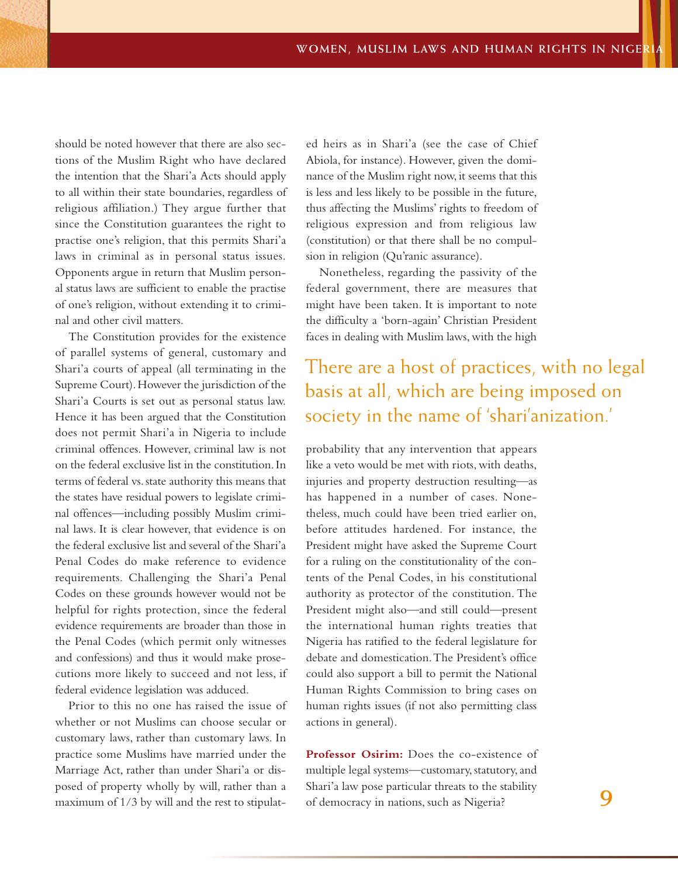should be noted however that there are also sections of the Muslim Right who have declared the intention that the Shari'a Acts should apply to all within their state boundaries, regardless of religious affiliation.) They argue further that since the Constitution guarantees the right to practise one's religion, that this permits Shari'a laws in criminal as in personal status issues. Opponents argue in return that Muslim personal status laws are sufficient to enable the practise of one's religion, without extending it to criminal and other civil matters.

The Constitution provides for the existence of parallel systems of general, customary and Shari'a courts of appeal (all terminating in the Supreme Court).However the jurisdiction of the Shari'a Courts is set out as personal status law. Hence it has been argued that the Constitution does not permit Shari'a in Nigeria to include criminal offences. However, criminal law is not on the federal exclusive list in the constitution.In terms of federal vs. state authority this means that the states have residual powers to legislate criminal offences—including possibly Muslim criminal laws. It is clear however, that evidence is on the federal exclusive list and several of the Shari'a Penal Codes do make reference to evidence requirements. Challenging the Shari'a Penal Codes on these grounds however would not be helpful for rights protection, since the federal evidence requirements are broader than those in the Penal Codes (which permit only witnesses and confessions) and thus it would make prosecutions more likely to succeed and not less, if federal evidence legislation was adduced.

Prior to this no one has raised the issue of whether or not Muslims can choose secular or customary laws, rather than customary laws. In practice some Muslims have married under the Marriage Act, rather than under Shari'a or disposed of property wholly by will, rather than a maximum of 1/3 by will and the rest to stipulated heirs as in Shari'a (see the case of Chief Abiola, for instance). However, given the dominance of the Muslim right now, it seems that this is less and less likely to be possible in the future, thus affecting the Muslims' rights to freedom of religious expression and from religious law (constitution) or that there shall be no compulsion in religion (Qu'ranic assurance).

Nonetheless, regarding the passivity of the federal government, there are measures that might have been taken. It is important to note the difficulty a 'born-again' Christian President faces in dealing with Muslim laws, with the high

## There are a host of practices, with no legal basis at all, which are being imposed on society in the name of 'shari'anization.'

probability that any intervention that appears like a veto would be met with riots, with deaths, injuries and property destruction resulting—as has happened in a number of cases. Nonetheless, much could have been tried earlier on, before attitudes hardened. For instance, the President might have asked the Supreme Court for a ruling on the constitutionality of the contents of the Penal Codes, in his constitutional authority as protector of the constitution. The President might also—and still could—present the international human rights treaties that Nigeria has ratified to the federal legislature for debate and domestication.The President's office could also support a bill to permit the National Human Rights Commission to bring cases on human rights issues (if not also permitting class actions in general).

**Professor Osirim:** Does the co-existence of multiple legal systems—customary, statutory, and Shari'a law pose particular threats to the stability of democracy in nations, such as Nigeria?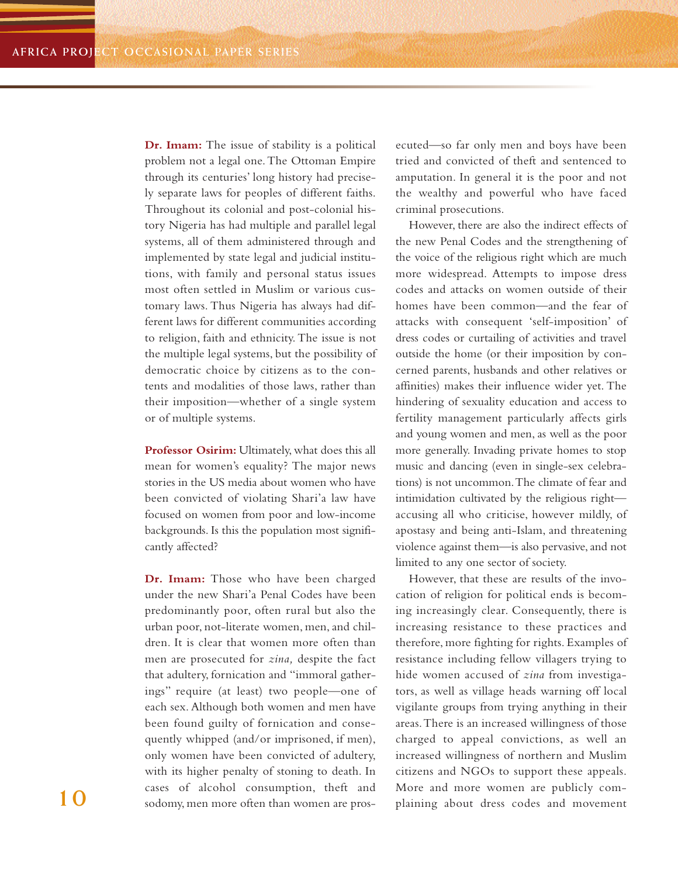**Dr. Imam:** The issue of stability is a political problem not a legal one.The Ottoman Empire through its centuries' long history had precisely separate laws for peoples of different faiths. Throughout its colonial and post-colonial history Nigeria has had multiple and parallel legal systems, all of them administered through and implemented by state legal and judicial institutions, with family and personal status issues most often settled in Muslim or various customary laws. Thus Nigeria has always had different laws for different communities according to religion, faith and ethnicity. The issue is not the multiple legal systems, but the possibility of democratic choice by citizens as to the contents and modalities of those laws, rather than their imposition—whether of a single system or of multiple systems.

**Professor Osirim:** Ultimately, what does this all mean for women's equality? The major news stories in the US media about women who have been convicted of violating Shari'a law have focused on women from poor and low-income backgrounds. Is this the population most significantly affected?

**Dr. Imam:** Those who have been charged under the new Shari'a Penal Codes have been predominantly poor, often rural but also the urban poor, not-literate women, men, and children. It is clear that women more often than men are prosecuted for *zina,* despite the fact that adultery, fornication and "immoral gatherings" require (at least) two people—one of each sex. Although both women and men have been found guilty of fornication and consequently whipped (and/or imprisoned, if men), only women have been convicted of adultery, with its higher penalty of stoning to death. In cases of alcohol consumption, theft and sodomy, men more often than women are prosecuted—so far only men and boys have been tried and convicted of theft and sentenced to amputation. In general it is the poor and not the wealthy and powerful who have faced criminal prosecutions.

However, there are also the indirect effects of the new Penal Codes and the strengthening of the voice of the religious right which are much more widespread. Attempts to impose dress codes and attacks on women outside of their homes have been common—and the fear of attacks with consequent 'self-imposition' of dress codes or curtailing of activities and travel outside the home (or their imposition by concerned parents, husbands and other relatives or affinities) makes their influence wider yet. The hindering of sexuality education and access to fertility management particularly affects girls and young women and men, as well as the poor more generally. Invading private homes to stop music and dancing (even in single-sex celebrations) is not uncommon.The climate of fear and intimidation cultivated by the religious right accusing all who criticise, however mildly, of apostasy and being anti-Islam, and threatening violence against them—is also pervasive, and not limited to any one sector of society.

However, that these are results of the invocation of religion for political ends is becoming increasingly clear. Consequently, there is increasing resistance to these practices and therefore, more fighting for rights. Examples of resistance including fellow villagers trying to hide women accused of *zina* from investigators, as well as village heads warning off local vigilante groups from trying anything in their areas.There is an increased willingness of those charged to appeal convictions, as well an increased willingness of northern and Muslim citizens and NGOs to support these appeals. More and more women are publicly complaining about dress codes and movement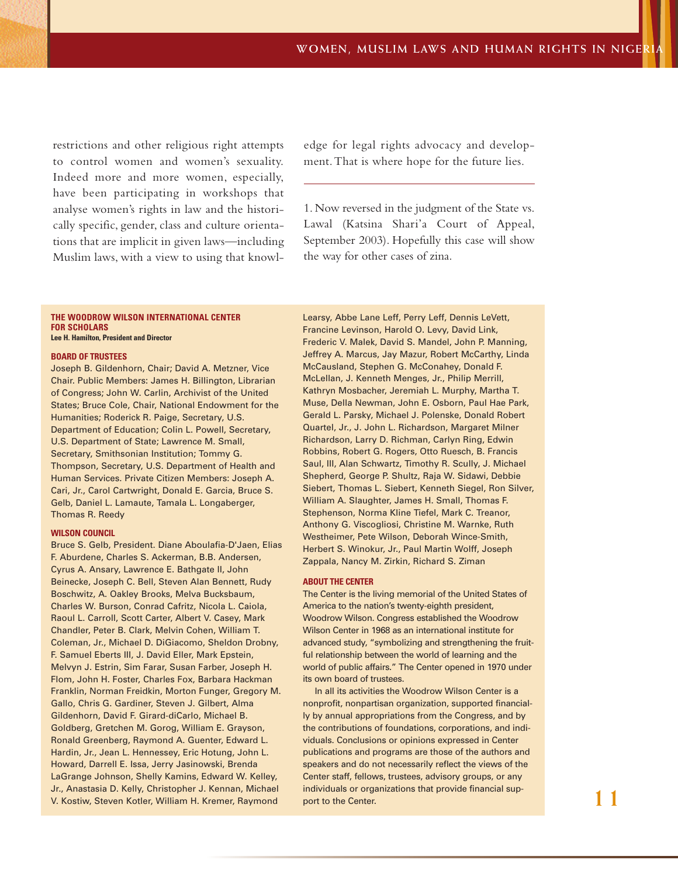restrictions and other religious right attempts to control women and women's sexuality. Indeed more and more women, especially, have been participating in workshops that analyse women's rights in law and the historically specific, gender, class and culture orientations that are implicit in given laws—including Muslim laws, with a view to using that knowledge for legal rights advocacy and development.That is where hope for the future lies.

1. Now reversed in the judgment of the State vs. Lawal (Katsina Shari'a Court of Appeal, September 2003). Hopefully this case will show the way for other cases of zina.

#### **THE WOODROW WILSON INTERNATIONAL CENTER FOR SCHOLARS Lee H. Hamilton, President and Director**

#### **BOARD OF TRUSTEES**

Joseph B. Gildenhorn, Chair; David A. Metzner, Vice Chair. Public Members: James H. Billington, Librarian of Congress; John W. Carlin, Archivist of the United States; Bruce Cole, Chair, National Endowment for the Humanities; Roderick R. Paige, Secretary, U.S. Department of Education; Colin L. Powell, Secretary, U.S. Department of State; Lawrence M. Small, Secretary, Smithsonian Institution; Tommy G. Thompson, Secretary, U.S. Department of Health and Human Services. Private Citizen Members: Joseph A. Cari, Jr., Carol Cartwright, Donald E. Garcia, Bruce S. Gelb, Daniel L. Lamaute, Tamala L. Longaberger, Thomas R. Reedy

#### **WILSON COUNCIL**

Bruce S. Gelb, President. Diane Aboulafia-D'Jaen, Elias F. Aburdene, Charles S. Ackerman, B.B. Andersen, Cyrus A. Ansary, Lawrence E. Bathgate II, John Beinecke, Joseph C. Bell, Steven Alan Bennett, Rudy Boschwitz, A. Oakley Brooks, Melva Bucksbaum, Charles W. Burson, Conrad Cafritz, Nicola L. Caiola, Raoul L. Carroll, Scott Carter, Albert V. Casey, Mark Chandler, Peter B. Clark, Melvin Cohen, William T. Coleman, Jr., Michael D. DiGiacomo, Sheldon Drobny, F. Samuel Eberts III, J. David Eller, Mark Epstein, Melvyn J. Estrin, Sim Farar, Susan Farber, Joseph H. Flom, John H. Foster, Charles Fox, Barbara Hackman Franklin, Norman Freidkin, Morton Funger, Gregory M. Gallo, Chris G. Gardiner, Steven J. Gilbert, Alma Gildenhorn, David F. Girard-diCarlo, Michael B. Goldberg, Gretchen M. Gorog, William E. Grayson, Ronald Greenberg, Raymond A. Guenter, Edward L. Hardin, Jr., Jean L. Hennessey, Eric Hotung, John L. Howard, Darrell E. Issa, Jerry Jasinowski, Brenda LaGrange Johnson, Shelly Kamins, Edward W. Kelley, Jr., Anastasia D. Kelly, Christopher J. Kennan, Michael V. Kostiw, Steven Kotler, William H. Kremer, Raymond

Learsy, Abbe Lane Leff, Perry Leff, Dennis LeVett, Francine Levinson, Harold O. Levy, David Link, Frederic V. Malek, David S. Mandel, John P. Manning, Jeffrey A. Marcus, Jay Mazur, Robert McCarthy, Linda McCausland, Stephen G. McConahey, Donald F. McLellan, J. Kenneth Menges, Jr., Philip Merrill, Kathryn Mosbacher, Jeremiah L. Murphy, Martha T. Muse, Della Newman, John E. Osborn, Paul Hae Park, Gerald L. Parsky, Michael J. Polenske, Donald Robert Quartel, Jr., J. John L. Richardson, Margaret Milner Richardson, Larry D. Richman, Carlyn Ring, Edwin Robbins, Robert G. Rogers, Otto Ruesch, B. Francis Saul, III, Alan Schwartz, Timothy R. Scully, J. Michael Shepherd, George P. Shultz, Raja W. Sidawi, Debbie Siebert, Thomas L. Siebert, Kenneth Siegel, Ron Silver, William A. Slaughter, James H. Small, Thomas F. Stephenson, Norma Kline Tiefel, Mark C. Treanor, Anthony G. Viscogliosi, Christine M. Warnke, Ruth Westheimer, Pete Wilson, Deborah Wince-Smith, Herbert S. Winokur, Jr., Paul Martin Wolff, Joseph Zappala, Nancy M. Zirkin, Richard S. Ziman

#### **ABOUT THE CENTER**

The Center is the living memorial of the United States of America to the nation's twenty-eighth president, Woodrow Wilson. Congress established the Woodrow Wilson Center in 1968 as an international institute for advanced study, "symbolizing and strengthening the fruitful relationship between the world of learning and the world of public affairs." The Center opened in 1970 under its own board of trustees.

In all its activities the Woodrow Wilson Center is a nonprofit, nonpartisan organization, supported financially by annual appropriations from the Congress, and by the contributions of foundations, corporations, and individuals. Conclusions or opinions expressed in Center publications and programs are those of the authors and speakers and do not necessarily reflect the views of the Center staff, fellows, trustees, advisory groups, or any individuals or organizations that provide financial support to the Center.